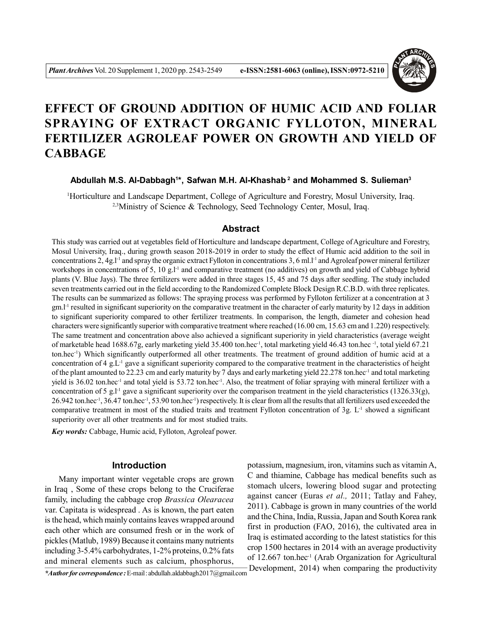

# **EFFECT OF GROUND ADDITION OF HUMIC ACID AND FOLIAR SPRAYING OF EXTRACT ORGANIC FYLLOTON, MINERAL FERTILIZER AGROLEAF POWER ON GROWTH AND YIELD OF CABBAGE**

## **Abdullah M.S. Al-Dabbagh<sup>1</sup> \*, Safwan M.H. Al-Khashab<sup>2</sup> and Mohammed S. Sulieman<sup>3</sup>**

<sup>1</sup>Horticulture and Landscape Department, College of Agriculture and Forestry, Mosul University, Iraq. <sup>2,3</sup>Ministry of Science & Technology, Seed Technology Center, Mosul, Iraq.

### **Abstract**

This study was carried out at vegetables field of Horticulture and landscape department, College of Agriculture and Forestry, Mosul University, Iraq., during growth season 2018-2019 in order to study the effect of Humic acid addition to the soil in concentrations 2, 4g.<sup>1-1</sup> and spray the organic extract Fylloton in concentrations 3, 6 ml.<sup>1-1</sup> and Agroleaf power mineral fertilizer workshops in concentrations of 5, 10 g.l<sup>-1</sup> and comparative treatment (no additives) on growth and yield of Cabbage hybrid plants (V. Blue Jays). The three fertilizers were added in three stages 15, 45 and 75 days after seedling. The study included seven treatments carried out in the field according to the Randomized Complete Block Design R.C.B.D. with three replicates. The results can be summarized as follows: The spraying process was performed by Fylloton fertilizer at a concentration at 3  $gm.1<sup>-1</sup>$  resulted in significant superiority on the comparative treatment in the character of early maturity by 12 days in addition to significant superiority compared to other fertilizer treatments. In comparison, the length, diameter and cohesion head characters were significantly superior with comparative treatment where reached (16.00 cm, 15.63 cm and 1.220) respectively. The same treatment and concentration above also achieved a significant superiority in yield characteristics (average weight of marketable head 1688.67g, early marketing yield 35.400 ton.hec-1, total marketing yield 46.43 ton.hec -1, total yield 67.21 ton.hec<sup>-1</sup>) Which significantly outperformed all other treatments. The treatment of ground addition of humic acid at a concentration of  $4 \text{ g.L}$ <sup>1</sup> gave a significant superiority compared to the comparative treatment in the characteristics of height of the plant amounted to 22.23 cm and early maturity by 7 days and early marketing yield 22.278 ton.hec<sup>-1</sup> and total marketing yield is 36.02 ton.hec<sup>-1</sup> and total yield is 53.72 ton.hec<sup>-1</sup>. Also, the treatment of foliar spraying with mineral fertilizer with a concentration of 5 g.l<sup>-1</sup> gave a significant superiority over the comparison treatment in the yield characteristics (1326.33(g),  $26.942$  ton.hec<sup>-1</sup>,  $36.47$  ton.hec<sup>-1</sup>,  $53.90$  ton.hec<sup>-1</sup>) respectively. It is clear from all the results that all fertilizers used exceeded the comparative treatment in most of the studied traits and treatment Fylloton concentration of  $3g$ .  $L<sup>-1</sup>$  showed a significant superiority over all other treatments and for most studied traits.

*Key words:* Cabbage, Humic acid, Fylloton, Agroleaf power.

#### **Introduction**

Many important winter vegetable crops are grown in Iraq , Some of these crops belong to the Cruciferae family, including the cabbage crop *Brassica Olearacea* var. Capitata is widespread . As is known, the part eaten is the head, which mainly contains leaves wrapped around each other which are consumed fresh or in the work of pickles (Matlub, 1989) Because it contains many nutrients including 3-5.4% carbohydrates, 1-2% proteins, 0.2% fats and mineral elements such as calcium, phosphorus,

potassium, magnesium, iron, vitamins such as vitamin A, C and thiamine, Cabbage has medical benefits such as stomach ulcers, lowering blood sugar and protecting against cancer (Euras *et al.,* 2011; Tatlay and Fahey, 2011). Cabbage is grown in many countries of the world and the China, India, Russia, Japan and South Korea rank first in production (FAO, 2016), the cultivated area in Iraq is estimated according to the latest statistics for this crop 1500 hectares in 2014 with an average productivity of 12.667 ton.hec-1 (Arab Organization for Agricultural <sup>\*Author for correspondence : E-mail : abdullah.aldabbagh2017@gmail.com Development, 2014) when comparing the productivity</sup>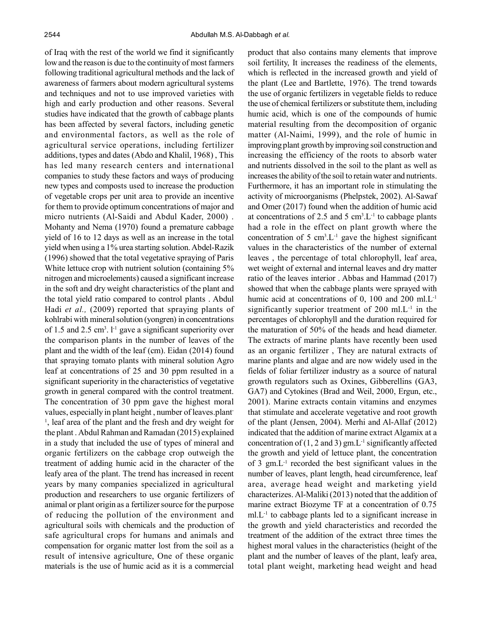of Iraq with the rest of the world we find it significantly low and the reason is due to the continuity of most farmers following traditional agricultural methods and the lack of awareness of farmers about modern agricultural systems and techniques and not to use improved varieties with high and early production and other reasons. Several studies have indicated that the growth of cabbage plants has been affected by several factors, including genetic and environmental factors, as well as the role of agricultural service operations, including fertilizer additions, types and dates (Abdo and Khalil, 1968) , This has led many research centers and international companies to study these factors and ways of producing new types and composts used to increase the production of vegetable crops per unit area to provide an incentive for them to provide optimum concentrations of major and micro nutrients (Al-Saidi and Abdul Kader, 2000) . Mohanty and Nema (1970) found a premature cabbage yield of 16 to 12 days as well as an increase in the total yield when using a 1% urea starting solution. Abdel-Razik (1996) showed that the total vegetative spraying of Paris White lettuce crop with nutrient solution (containing 5% nitrogen and microelements) caused a significant increase in the soft and dry weight characteristics of the plant and the total yield ratio compared to control plants . Abdul Hadi *et al.,* (2009) reported that spraying plants of kohlrabi with mineral solution (yongren) in concentrations of 1.5 and 2.5  $\text{cm}^3$ .  $\text{l}$ <sup>-1</sup> gave a significant superiority over the comparison plants in the number of leaves of the plant and the width of the leaf (cm). Eidan (2014) found that spraying tomato plants with mineral solution Agro leaf at concentrations of 25 and 30 ppm resulted in a significant superiority in the characteristics of vegetative growth in general compared with the control treatment. The concentration of 30 ppm gave the highest moral values, especially in plant height , number of leaves.plant-<sup>1</sup>, leaf area of the plant and the fresh and dry weight for the plant . Abdul Rahman and Ramadan (2015) explained in a study that included the use of types of mineral and organic fertilizers on the cabbage crop outweigh the treatment of adding humic acid in the character of the leafy area of the plant. The trend has increased in recent years by many companies specialized in agricultural production and researchers to use organic fertilizers of animal or plant origin as a fertilizer source for the purpose of reducing the pollution of the environment and agricultural soils with chemicals and the production of safe agricultural crops for humans and animals and compensation for organic matter lost from the soil as a result of intensive agriculture, One of these organic materials is the use of humic acid as it is a commercial

product that also contains many elements that improve soil fertility, It increases the readiness of the elements, which is reflected in the increased growth and yield of the plant (Lee and Bartlette, 1976). The trend towards the use of organic fertilizers in vegetable fields to reduce the use of chemical fertilizers or substitute them, including humic acid, which is one of the compounds of humic material resulting from the decomposition of organic matter (Al-Naimi, 1999), and the role of humic in improving plant growth by improving soil construction and increasing the efficiency of the roots to absorb water and nutrients dissolved in the soil to the plant as well as increases the ability of the soil to retain water and nutrients. Furthermore, it has an important role in stimulating the activity of microorganisms (Phelpstek, 2002). Al-Sawaf and Omer (2017) found when the addition of humic acid at concentrations of 2.5 and 5  $\text{cm}^3$ . L<sup>-1</sup> to cabbage plants had a role in the effect on plant growth where the concentration of 5  $cm<sup>3</sup> L<sup>-1</sup>$  gave the highest significant values in the characteristics of the number of external leaves , the percentage of total chlorophyll, leaf area, wet weight of external and internal leaves and dry matter ratio of the leaves interior . Abbas and Hammad (2017) showed that when the cabbage plants were sprayed with humic acid at concentrations of 0, 100 and 200 ml.L<sup>-1</sup> significantly superior treatment of 200 ml.L<sup>-1</sup> in the percentages of chlorophyll and the duration required for the maturation of 50% of the heads and head diameter. The extracts of marine plants have recently been used as an organic fertilizer , They are natural extracts of marine plants and algae and are now widely used in the fields of foliar fertilizer industry as a source of natural growth regulators such as Oxines, Gibberellins (GA3, GA7) and Cytokines (Brad and Weil, 2000, Ergun, etc., 2001). Marine extracts contain vitamins and enzymes that stimulate and accelerate vegetative and root growth of the plant (Jensen, 2004). Merhi and Al-Allaf (2012) indicated that the addition of marine extract Algamix at a concentration of  $(1, 2 \text{ and } 3)$  gm. L<sup>-1</sup> significantly affected the growth and yield of lettuce plant, the concentration of 3 gm.L-1 recorded the best significant values in the number of leaves, plant length, head circumference, leaf area, average head weight and marketing yield characterizes. Al-Maliki (2013) noted that the addition of marine extract Biozyme TF at a concentration of 0.75 ml.L-1 to cabbage plants led to a significant increase in the growth and yield characteristics and recorded the treatment of the addition of the extract three times the highest moral values in the characteristics (height of the plant and the number of leaves of the plant, leafy area, total plant weight, marketing head weight and head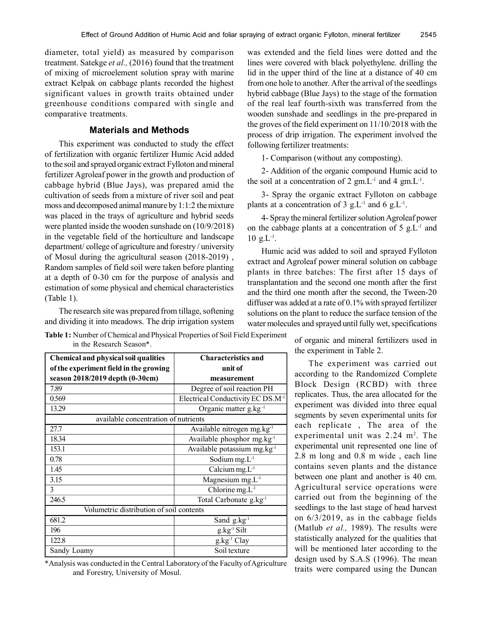diameter, total yield) as measured by comparison treatment. Satekge *et al.,* (2016) found that the treatment of mixing of microelement solution spray with marine extract Kelpak on cabbage plants recorded the highest significant values in growth traits obtained under greenhouse conditions compared with single and comparative treatments.

## **Materials and Methods**

This experiment was conducted to study the effect of fertilization with organic fertilizer Humic Acid added to the soil and sprayed organic extract Fylloton and mineral fertilizer Agroleaf power in the growth and production of cabbage hybrid (Blue Jays), was prepared amid the cultivation of seeds from a mixture of river soil and peat moss and decomposed animal manure by 1:1:2 the mixture was placed in the trays of agriculture and hybrid seeds were planted inside the wooden sunshade on (10/9/2018) in the vegetable field of the horticulture and landscape department/ college of agriculture and forestry / university of Mosul during the agricultural season (2018-2019) , Random samples of field soil were taken before planting at a depth of 0-30 cm for the purpose of analysis and estimation of some physical and chemical characteristics (Table 1).

The research site was prepared from tillage, softening and dividing it into meadows. The drip irrigation system was extended and the field lines were dotted and the lines were covered with black polyethylene. drilling the lid in the upper third of the line at a distance of 40 cm from one hole to another. After the arrival of the seedlings hybrid cabbage (Blue Jays) to the stage of the formation of the real leaf fourth-sixth was transferred from the wooden sunshade and seedlings in the pre-prepared in the groves of the field experiment on 11/10/2018 with the process of drip irrigation. The experiment involved the following fertilizer treatments:

1- Comparison (without any composting).

2- Addition of the organic compound Humic acid to the soil at a concentration of 2 gm.L<sup>-1</sup> and 4 gm.L<sup>-1</sup>.

3- Spray the organic extract Fylloton on cabbage plants at a concentration of 3  $g.L^{-1}$  and 6  $g.L^{-1}$ .

4- Spray the mineral fertilizer solution Agroleaf power on the cabbage plants at a concentration of  $5 \text{ g.L}^{-1}$  and  $10 \text{ g.L}^{-1}$ .

Humic acid was added to soil and sprayed Fylloton extract and Agroleaf power mineral solution on cabbage plants in three batches: The first after 15 days of transplantation and the second one month after the first and the third one month after the second, the Tween-20 diffuser was added at a rate of 0.1% with sprayed fertilizer solutions on the plant to reduce the surface tension of the water molecules and sprayed until fully wet, specifications

**Table 1:** Number of Chemical and Physical Properties of Soil Field Experiment in the Research Season\*.

| <b>Chemical and physical soil qualities</b> | <b>Characteristics and</b>              |  |  |  |
|---------------------------------------------|-----------------------------------------|--|--|--|
| of the experiment field in the growing      | unit of                                 |  |  |  |
| season 2018/2019 depth (0-30cm)             | measurement                             |  |  |  |
| 7.89                                        | Degree of soil reaction PH              |  |  |  |
| 0.569                                       | Electrical Conductivity EC DS.M-1       |  |  |  |
| 13.29                                       | Organic matter g.kg <sup>-1</sup>       |  |  |  |
| available concentration of nutrients        |                                         |  |  |  |
| 27.7                                        | Available nitrogen mg.kg <sup>-1</sup>  |  |  |  |
| 18.34                                       | Available phosphor mg.kg <sup>-1</sup>  |  |  |  |
| 153.1                                       | Available potassium mg.kg <sup>-1</sup> |  |  |  |
| 0.78                                        | Sodium $mg.L^{-1}$                      |  |  |  |
| 1.45                                        | Calcium $mg.L^{-1}$                     |  |  |  |
| 3.15                                        | Magnesium $mg.L^{-1}$                   |  |  |  |
| 3                                           | Chlorine $mg.L^{-1}$                    |  |  |  |
| 246.5                                       | Total Carbonate g.kg <sup>-1</sup>      |  |  |  |
| Volumetric distribution of soil contents    |                                         |  |  |  |
| 681.2                                       | Sand $g_{\cdot}kg^{-1}$                 |  |  |  |
| 196                                         | g.kg <sup>-1</sup> Silt                 |  |  |  |
| 122.8                                       | g.kg <sup>-1</sup> Clay                 |  |  |  |
| Sandy Loamy                                 | Soil texture                            |  |  |  |

\*Analysis was conducted in the Central Laboratory of the Faculty of Agriculture and Forestry, University of Mosul.

of organic and mineral fertilizers used in the experiment in Table 2.

The experiment was carried out according to the Randomized Complete Block Design (RCBD) with three replicates. Thus, the area allocated for the experiment was divided into three equal segments by seven experimental units for each replicate , The area of the experimental unit was  $2.24 \text{ m}^2$ . The experimental unit represented one line of 2.8 m long and 0.8 m wide , each line contains seven plants and the distance between one plant and another is 40 cm. Agricultural service operations were carried out from the beginning of the seedlings to the last stage of head harvest on 6/3/2019, as in the cabbage fields (Matlub *et al.,* 1989). The results were statistically analyzed for the qualities that will be mentioned later according to the design used by S.A.S (1996). The mean traits were compared using the Duncan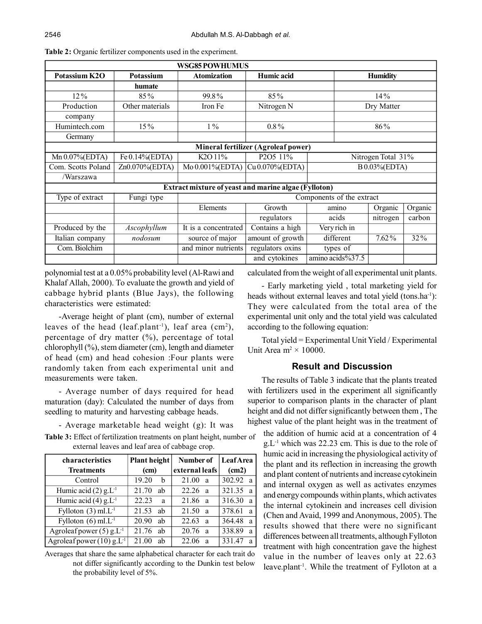| <b>WSG85 POWHUMUS</b>                                       |                                            |                           |                       |                    |                 |         |  |
|-------------------------------------------------------------|--------------------------------------------|---------------------------|-----------------------|--------------------|-----------------|---------|--|
| Potassium K2O                                               | <b>Potassium</b>                           | <b>Atomization</b>        | Humic acid            |                    | <b>Humidity</b> |         |  |
|                                                             | humate                                     |                           |                       |                    |                 |         |  |
| $12\%$                                                      | $85\%$                                     | 99.8%                     | 85%                   |                    | $14\%$          |         |  |
| Production                                                  | Other materials                            | Iron Fe                   | Nitrogen <sub>N</sub> | Dry Matter         |                 |         |  |
| company                                                     |                                            |                           |                       |                    |                 |         |  |
| Humintech.com                                               | $15\%$                                     | $1\%$                     | $0.8\%$               |                    | 86%             |         |  |
| Germany                                                     |                                            |                           |                       |                    |                 |         |  |
|                                                             | <b>Mineral fertilizer (Agroleaf power)</b> |                           |                       |                    |                 |         |  |
| Mn 0.07%(EDTA)                                              | Fe 0.14%(EDTA)                             | K <sub>2</sub> O 11%      | P2O5 11%              | Nitrogen Total 31% |                 |         |  |
| Com. Scotts Poland                                          | Zn0.070%(EDTA)                             | Mo 0.001%(EDTA)           | Cu 0.070%(EDTA)       | B0.03%(EDTA)       |                 |         |  |
| /Warszawa                                                   |                                            |                           |                       |                    |                 |         |  |
| <b>Extract mixture of yeast and marine algae (Fylloton)</b> |                                            |                           |                       |                    |                 |         |  |
| Type of extract                                             | Fungi type                                 | Components of the extract |                       |                    |                 |         |  |
|                                                             |                                            | Elements                  | Growth                | amino              | Organic         | Organic |  |
|                                                             |                                            |                           | regulators            | acids              | nitrogen        | carbon  |  |
| Produced by the                                             | Ascophyllum                                | It is a concentrated      | Contains a high       | Very rich in       |                 |         |  |
| Italian company                                             | nodosum                                    | source of major           | amount of growth      | different          | $7.62\%$        | 32%     |  |
| Com. Biolchim                                               |                                            | and minor nutrients       | regulators oxins      | types of           |                 |         |  |
|                                                             |                                            |                           | and cytokines         | amino acids%37.5   |                 |         |  |

**Table 2:** Organic fertilizer components used in the experiment.

polynomial test at a 0.05% probability level (Al-Rawi and Khalaf Allah, 2000). To evaluate the growth and yield of cabbage hybrid plants (Blue Jays), the following characteristics were estimated:

-Average height of plant (cm), number of external leaves of the head (leaf.plant<sup>-1</sup>), leaf area  $(cm<sup>2</sup>)$ , percentage of dry matter (%), percentage of total chlorophyll (%), stem diameter (cm), length and diameter of head (cm) and head cohesion :Four plants were randomly taken from each experimental unit and measurements were taken.

- Average number of days required for head maturation (day): Calculated the number of days from seedling to maturity and harvesting cabbage heads.

- Average marketable head weight (g): It was

**Table 3:** Effect of fertilization treatments on plant height, number of external leaves and leaf area of cabbage crop.

| characteristics                         | Plant height | Number of             | Leaf Area   |  |
|-----------------------------------------|--------------|-----------------------|-------------|--|
| <b>Treatments</b>                       | (cm)         | external leafs        | (cm2)       |  |
| Control                                 | 19.20<br>b   | 21.00<br>a            | 302.92 a    |  |
| Humic acid $(2)$ g.L <sup>-1</sup>      | 21.70<br>ab  | $22.26 \text{ a}$     | 321.35 a    |  |
| Humic acid (4) $g.L^{-1}$               | 22.23<br>a   | 21.86 a               | 316.30<br>a |  |
| Fylloton $(3)$ ml.L <sup>-1</sup>       | 21.53<br>ab  | 21.50<br>$\mathbf{a}$ | 378.61<br>a |  |
| Fylloton $(6)$ ml. $L^{-1}$             | 20.90<br>ab  | 22.63<br>a            | 364.48<br>a |  |
| Agroleaf power $(5)$ g.L <sup>-1</sup>  | 21.76<br>ab  | 20.76<br>a            | 338.89<br>a |  |
| Agroleaf power $(10)$ g.L <sup>-1</sup> | 21.00<br>ab  | 22.06<br>a            | 331.47<br>a |  |

Averages that share the same alphabetical character for each trait do not differ significantly according to the Dunkin test below the probability level of 5%.

calculated from the weight of all experimental unit plants.

- Early marketing yield , total marketing yield for heads without external leaves and total yield (tons.ha<sup>-1</sup>): They were calculated from the total area of the experimental unit only and the total yield was calculated according to the following equation:

Total yield = Experimental Unit Yield / Experimental Unit Area  $m^2 \times 10000$ .

## **Result and Discussion**

The results of Table 3 indicate that the plants treated with fertilizers used in the experiment all significantly superior to comparison plants in the character of plant height and did not differ significantly between them , The highest value of the plant height was in the treatment of

the addition of humic acid at a concentration of 4  $g_{\rm L}$ <sup>1</sup> which was 22.23 cm. This is due to the role of humic acid in increasing the physiological activity of the plant and its reflection in increasing the growth and plant content of nutrients and increase cytokinein and internal oxygen as well as activates enzymes and energy compounds within plants, which activates the internal cytokinein and increases cell division (Chen and Avaid, 1999 and Anonymous, 2005). The results showed that there were no significant differences between all treatments, although Fylloton treatment with high concentration gave the highest value in the number of leaves only at 22.63 leave.plant-1. While the treatment of Fylloton at a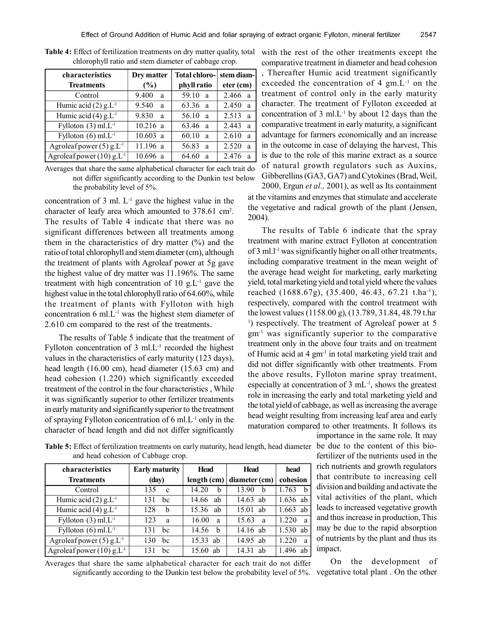| characteristics                        | Dry matter | Total chloro- | stem diam-            |  |
|----------------------------------------|------------|---------------|-----------------------|--|
| <b>Treatments</b>                      | (%)        | phyll ratio   | eter (cm)             |  |
| Control                                | 9.400<br>a | 59.10<br>a    | 2.466<br><sub>a</sub> |  |
| Humic acid $(2)$ g.L <sup>-1</sup>     | 9.540<br>a | 63.36 a       | 2.450<br>a            |  |
| Humic acid (4) $g.L^{-1}$              | 9.830<br>a | 56.10<br>a    | 2.513<br>a            |  |
| Fylloton $(3)$ ml. $L-1$               | $10.216$ a | 63.46<br>a    | 2.443<br>a            |  |
| Fylloton $(6)$ ml. $L$ <sup>1</sup>    | $10.603$ a | 60.10<br>a    | 2.610<br>a            |  |
| Agroleaf power $(5)$ g.L <sup>-1</sup> | 11.196 a   | 56.83<br>a    | 2.520<br>a            |  |
| Agroleaf power (10) g.L <sup>-1</sup>  | $10.696$ a | 64.60<br>a    | 2.476<br>a            |  |

**Table 4:** Effect of fertilization treatments on dry matter quality, total chlorophyll ratio and stem diameter of cabbage crop.

Averages that share the same alphabetical character for each trait do not differ significantly according to the Dunkin test below the probability level of 5%.

concentration of 3 ml.  $L^{-1}$  gave the highest value in the character of leafy area which amounted to 378.61 cm<sup>2</sup> . The results of Table 4 indicate that there was no significant differences between all treatments among them in the characteristics of dry matter (%) and the ratio of total chlorophyll and stem diameter (cm), although the treatment of plants with Agroleaf power at 5g gave the highest value of dry matter was 11.196%. The same treatment with high concentration of 10  $g<sub>L<sup>-1</sup></sub>$  gave the highest value in the total chlorophyll ratio of 64.60%, while the treatment of plants with Fylloton with high concentration 6 ml. $L^{-1}$  was the highest stem diameter of 2.610 cm compared to the rest of the treatments.

The results of Table 5 indicate that the treatment of Fylloton concentration of  $3 \text{ ml.L}$ <sup>1</sup> recorded the highest values in the characteristics of early maturity (123 days), head length (16.00 cm), head diameter (15.63 cm) and head cohesion (1.220) which significantly exceeded treatment of the control in the four characteristics , While it was significantly superior to other fertilizer treatments in early maturity and significantly superior to the treatment of spraying Fylloton concentration of 6 ml.L-1 only in the character of head length and did not differ significantly

with the rest of the other treatments except the comparative treatment in diameter and head cohesion , Thereafter Humic acid treatment significantly exceeded the concentration of 4  $gm.L^{-1}$  on the treatment of control only in the early maturity character. The treatment of Fylloton exceeded at concentration of 3 ml.L<sup>-1</sup> by about 12 days than the comparative treatment in early maturity, a significant advantage for farmers economically and an increase in the outcome in case of delaying the harvest, This is due to the role of this marine extract as a source of natural growth regulators such as Auxins, Gibberellins (GA3, GA7) and Cytokines (Brad, Weil, 2000, Ergun *et al.,* 2001), as well as Its containment

at the vitamins and enzymes that stimulate and accelerate the vegetative and radical growth of the plant (Jensen, 2004).

The results of Table 6 indicate that the spray treatment with marine extract Fylloton at concentration of 3 ml.l<sup>-1</sup> was significantly higher on all other treatments, including comparative treatment in the mean weight of the average head weight for marketing, early marketing yield, total marketing yield and total yield where the values reached (1688.67g), (35.400, 46.43, 67.21 t.ha-1), respectively, compared with the control treatment with the lowest values (1158.00 g), (13.789, 31.84, 48.79 t.ha-<sup>1</sup>) respectively. The treatment of Agroleaf power at 5 gm-1 was significantly superior to the comparative treatment only in the above four traits and on treatment of Humic acid at 4 gm-1 in total marketing yield trait and did not differ significantly with other treatments. From the above results, Fylloton marine spray treatment, especially at concentration of  $3 \text{ mL}^{-1}$ , shows the greatest role in increasing the early and total marketing yield and the total yield of cabbage, as well as increasing the average head weight resulting from increasing leaf area and early maturation compared to other treatments. It follows its

**Table 5:** Effect of fertilization treatments on early maturity, head length, head diameter be due to the content of this bioand head cohesion of Cabbage crop.

| characteristics                         | <b>Early maturity</b> | <b>Head</b> | <b>Head</b>           | head        |
|-----------------------------------------|-----------------------|-------------|-----------------------|-------------|
| <b>Treatments</b>                       | (day)                 | length (cm) | $diameter$ (cm)       | cohesion    |
| Control                                 | 135<br>$\mathbf c$    | 14.20<br>b  | 13.90<br>b            | 1.763<br>h  |
| Humic acid $(2)$ g.L <sup>-1</sup>      | 131<br>bc             | 14.66<br>ab | 14.63<br>ab           | $1.636$ ab  |
| Humic acid $(4)$ g.L <sup>-1</sup>      | 128<br>b              | 15.36<br>ab | 15.01<br>ab           | 1.663<br>ab |
| Fylloton $(3)$ ml. $L^{-1}$             | 123<br>a              | 16.00<br>a  | 15.63<br>a            | 1.220<br>a  |
| Fylloton $\overline{(6)$ ml. $L^{-1}$   | 131<br>bc             | 14.56<br>h  | $14.16$ ab            | 1.530<br>ab |
| Agroleaf power $(5)$ g.L <sup>-1</sup>  | 130<br>bc             | 15.33 ab    | $\overline{14.95}$ ab | 1.220<br>a  |
| Agroleaf power $(10)$ g.L <sup>-1</sup> | 131<br>bc             | 15.60<br>ab | 14.31<br>ab           | 1.496<br>ab |

importance in the same role. It may fertilizer of the nutrients used in the rich nutrients and growth regulators that contribute to increasing cell division and building and activate the vital activities of the plant, which leads to increased vegetative growth and thus increase in production, This may be due to the rapid absorption of nutrients by the plant and thus its impact.

Averages that share the same alphabetical character for each trait do not differ significantly according to the Dunkin test below the probability level of 5%. vegetative total plant . On the other

On the development of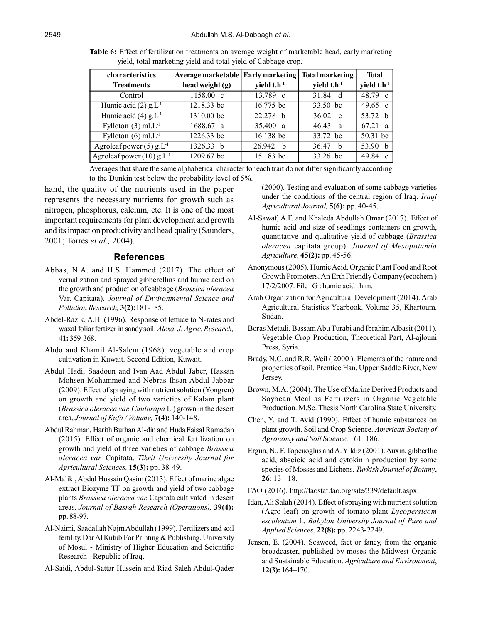| characteristics<br><b>Treatments</b>   | Average marketable Early marketing<br>head weight $(g)$ | yield $t.h^{-1}$ | <b>Total marketing</b><br>yield $t.h^{-1}$ | <b>Total</b><br>yield $t.h^{-1}$ |
|----------------------------------------|---------------------------------------------------------|------------------|--------------------------------------------|----------------------------------|
| Control                                | 1158.00 c                                               | 13.789 c         | 31.84 d                                    | 48.79 c                          |
| Humic acid $(2)$ g.L <sup>-1</sup>     | 1218.33 bc                                              | 16.775 bc        | 33.50 hc                                   | 49.65 c                          |
| Humic acid $(4)$ g.L <sup>-1</sup>     | 1310.00 bc                                              | $22.278$ h       | $36.02 \text{ c}$                          | 53.72 b                          |
| Fylloton $(3)$ ml. $L^{-1}$            | 1688.67 a                                               | 35.400 a         | $46.43 \text{ a}$                          | $67.21 \text{ a}$                |
| Fylloton $(6)$ ml. $L$ <sup>-1</sup>   | 1226.33 bc                                              | 16.138 bc        | 33.72 bc                                   | 50.31 bc                         |
| Agroleaf power $(5)$ g.L <sup>-1</sup> | 1326.33 b                                               | 26.942 b         | 36.47 h                                    | 53.90<br>h.                      |
| Agroleaf power (10) $g.L^{-1}$         | 1209.67 bc                                              | 15.183 bc        | 33.26 bc                                   | 49.84 c                          |

**Table 6:** Effect of fertilization treatments on average weight of marketable head, early marketing yield, total marketing yield and total yield of Cabbage crop.

Averages that share the same alphabetical character for each trait do not differ significantly according to the Dunkin test below the probability level of 5%.

hand, the quality of the nutrients used in the paper represents the necessary nutrients for growth such as nitrogen, phosphorus, calcium, etc. It is one of the most important requirements for plant development and growth and its impact on productivity and head quality (Saunders, 2001; Torres *et al.,* 2004).

## **References**

- Abbas, N.A. and H.S. Hammed (2017). The effect of vernalization and sprayed gibberellins and humic acid on the growth and production of cabbage (*Brassica oleracea* Var. Capitata). *Journal of Environmental Science and Pollution Research,* **3(2):**181-185.
- Abdel-Razik, A.H. (1996). Response of lettuce to N-rates and waxal foliar fertizer in sandy soil. *Alexa. J. Agric. Research,* **41:** 359-368.
- Abdo and Khamil Al-Salem (1968). vegetable and crop cultivation in Kuwait. Second Edition, Kuwait.
- Abdul Hadi, Saadoun and Ivan Aad Abdul Jaber, Hassan Mohsen Mohammed and Nebras Ihsan Abdul Jabbar (2009). Effect of spraying with nutrient solution (Yongren) on growth and yield of two varieties of Kalam plant (*Brassica oleracea var. Caulorapa* L.) grown in the desert area. *Journal of Kufa / Volume,* **7(4):** 140-148.
- Abdul Rahman, Harith Burhan Al-din and Huda Faisal Ramadan (2015). Effect of organic and chemical fertilization on growth and yield of three varieties of cabbage *Brassica oleracea var.* Capitata. *Tikrit University Journal for Agricultural Sciences,* **15(3):** pp. 38-49.
- Al-Maliki, Abdul Hussain Qasim (2013). Effect of marine algae extract Biozyme TF on growth and yield of two cabbage plants *Brassica oleracea var.* Capitata cultivated in desert areas. *Journal of Basrah Research (Operations),* **39(4):** pp. 88-97.
- Al-Naimi, Saadallah Najm Abdullah (1999). Fertilizers and soil fertility. Dar Al Kutub For Printing & Publishing. University of Mosul - Ministry of Higher Education and Scientific Research - Republic of Iraq.
- Al-Saidi, Abdul-Sattar Hussein and Riad Saleh Abdul-Qader

(2000). Testing and evaluation of some cabbage varieties under the conditions of the central region of Iraq. *Iraqi Agricultural Journal,* **5(6):** pp. 40-45.

- Al-Sawaf, A.F. and Khaleda Abdullah Omar (2017). Effect of humic acid and size of seedlings containers on growth, quantitative and qualitative yield of cabbage (*Brassica oleracea* capitata group). *Journal of Mesopotamia Agriculture,* **45(2):** pp. 45-56.
- Anonymous (2005). Humic Acid, Organic Plant Food and Root Growth Promoters. An Erth Friendly Company (ecochem ) 17/2/2007. File : G : humic acid . htm.
- Arab Organization for Agricultural Development (2014). Arab Agricultural Statistics Yearbook. Volume 35, Khartoum. Sudan.
- Boras Metadi, Bassam Abu Turabi and Ibrahim Albasit (2011). Vegetable Crop Production, Theoretical Part, Al-ajlouni Press, Syria.
- Brady, N.C. and R.R. Weil ( 2000 ). Elements of the nature and properties of soil. Prentice Han, Upper Saddle River, New Jersey.
- Brown, M.A. (2004). The Use of Marine Derived Products and Soybean Meal as Fertilizers in Organic Vegetable Production. M.Sc. Thesis North Carolina State University.
- Chen, Y. and T. Avid (1990). Effect of humic substances on plant growth. Soil and Crop Science. *American Society of Agronomy and Soil Science,* 161–186.
- Ergun, N., F. Topeuoglus and A. Yildiz (2001). Auxin, gibberllic acid, abscicic acid and cytokinin production by some species of Mosses and Lichens. *Turkish Journal of Botany*,  $26: 13 - 18.$
- FAO (2016). http://faostat.fao.org/site/339/default.aspx.
- Idan, Ali Salah (2014). Effect of spraying with nutrient solution (Agro leaf) on growth of tomato plant *Lycopersicom esculentum* L. *Babylon University Journal of Pure and Applied Sciences,* **22(8):** pp. 2243-2249.
- Jensen, E. (2004). Seaweed, fact or fancy, from the organic broadcaster, published by moses the Midwest Organic and Sustainable Education. *Agriculture and Environment*, **12(3):** 164–170.